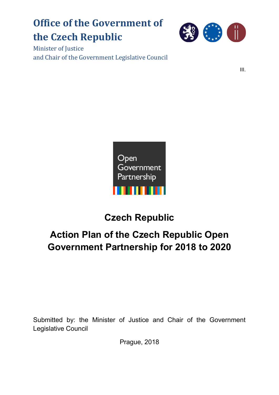# **Office of the Government of the Czech Republic**



Minister of Justice and Chair of the Government Legislative Council

III.



## **Czech Republic**

## **Action Plan of the Czech Republic Open Government Partnership for 2018 to 2020**

Submitted by: the Minister of Justice and Chair of the Government Legislative Council

Prague, 2018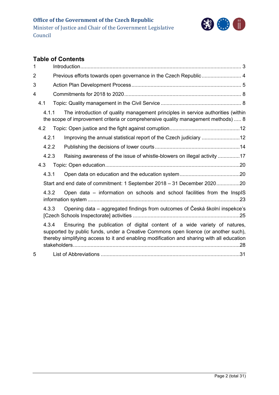

### **Table of Contents**

| 1              |       |                                                                                                                                                                                                                                                               |  |
|----------------|-------|---------------------------------------------------------------------------------------------------------------------------------------------------------------------------------------------------------------------------------------------------------------|--|
| $\overline{2}$ |       | Previous efforts towards open governance in the Czech Republic 4                                                                                                                                                                                              |  |
| 3              |       |                                                                                                                                                                                                                                                               |  |
| 4              |       |                                                                                                                                                                                                                                                               |  |
|                | 4.1   |                                                                                                                                                                                                                                                               |  |
|                | 4.1.1 | The introduction of quality management principles in service authorities (within<br>the scope of improvement criteria or comprehensive quality management methods)  8                                                                                         |  |
|                | 4.2   |                                                                                                                                                                                                                                                               |  |
|                | 4.2.1 | Improving the annual statistical report of the Czech judiciary 12                                                                                                                                                                                             |  |
|                | 4.2.2 |                                                                                                                                                                                                                                                               |  |
|                | 4.2.3 | Raising awareness of the issue of whistle-blowers on illegal activity 17                                                                                                                                                                                      |  |
|                | 4.3   |                                                                                                                                                                                                                                                               |  |
|                | 4.3.1 |                                                                                                                                                                                                                                                               |  |
|                |       | Start and end date of commitment: 1 September 2018 - 31 December 202020                                                                                                                                                                                       |  |
|                | 4.3.2 | Open data - information on schools and school facilities from the InspIS                                                                                                                                                                                      |  |
|                | 4.3.3 | Opening data - aggregated findings from outcomes of Česká školní inspekce's                                                                                                                                                                                   |  |
|                | 4.3.4 | Ensuring the publication of digital content of a wide variety of natures,<br>supported by public funds, under a Creative Commons open licence (or another such),<br>thereby simplifying access to it and enabling modification and sharing with all education |  |
| 5              |       |                                                                                                                                                                                                                                                               |  |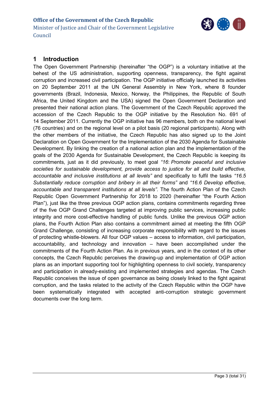

### <span id="page-2-0"></span>**1 Introduction**

The Open Government Partnership (hereinafter "the OGP") is a voluntary initiative at the behest of the US administration, supporting openness, transparency, the fight against corruption and increased civil participation. The OGP initiative officially launched its activities on 20 September 2011 at the UN General Assembly in New York, where 8 founder governments (Brazil, Indonesia, Mexico, Norway, the Philippines, the Republic of South Africa, the United Kingdom and the USA) signed the Open Government Declaration and presented their national action plans. The Government of the Czech Republic approved the accession of the Czech Republic to the OGP initiative by the Resolution No. 691 of 14 September 2011. Currently the OGP initiative has 96 members, both on the national level (76 countries) and on the regional level on a pilot basis (20 regional participants). Along with the other members of the initiative, the Czech Republic has also signed up to the Joint Declaration on Open Government for the Implementation of the 2030 Agenda for Sustainable Development. By linking the creation of a national action plan and the implementation of the goals of the 2030 Agenda for Sustainable Development, the Czech Republic is keeping its commitments, just as it did previously, to meet goal *"16*: *Promote peaceful and inclusive societies for sustainable development, provide access to justice for all and build effective, accountable and inclusive institutions at all levels"* and specifically to fulfil the tasks *"16.5 Substantially reduce corruption and bribery in all their forms"* and *"16.6 Develop effective, accountable and transparent institutions at all levels"*. The fourth Action Plan of the Czech Republic Open Government Partnership for 2018 to 2020 (hereinafter "the Fourth Action Plan"), just like the three previous OGP action plans, contains commitments regarding three of the five OGP Grand Challenges targeted at improving public services, increasing public integrity and more cost-effective handling of public funds. Unlike the previous OGP action plans, the Fourth Action Plan also contains a commitment aimed at meeting the fifth OGP Grand Challenge, consisting of increasing corporate responsibility with regard to the issues of protecting whistle-blowers. All four OGP values – access to information, civil participation, accountability, and technology and innovation – have been accomplished under the commitments of the Fourth Action Plan. As in previous years, and in the context of its other concepts, the Czech Republic perceives the drawing-up and implementation of OGP action plans as an important supporting tool for highlighting openness to civil society, transparency and participation in already-existing and implemented strategies and agendas. The Czech Republic conceives the issue of open governance as being closely linked to the fight against corruption, and the tasks related to the activity of the Czech Republic within the OGP have been systematically integrated with accepted anti-corruption strategic government documents over the long term.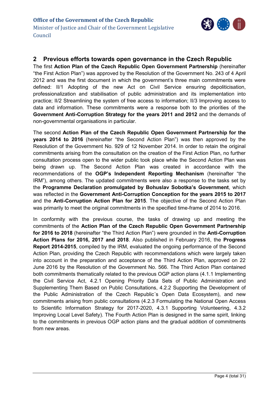

#### <span id="page-3-0"></span>**2 Previous efforts towards open governance in the Czech Republic**

The first **Action Plan of the Czech Republic Open Government Partnership** (hereinafter "the First Action Plan") was approved by the Resolution of the Government No. 243 of 4 April 2012 and was the first document in which the government's three main commitments were defined: II/1 Adopting of the new Act on Civil Service ensuring depoliticisation, professionalization and stabilisation of public administration and its implementation into practice; II/2 Streamlining the system of free access to information; II/3 Improving access to data and information. These commitments were a response both to the priorities of the **Government Anti-Corruption Strategy for the years 2011 and 2012** and the demands of non-governmental organisations in particular.

The second **Action Plan of the Czech Republic Open Government Partnership for the years 2014 to 2016** (hereinafter "the Second Action Plan") was then approved by the Resolution of the Government No. 929 of 12 November 2014. In order to retain the original commitments arising from the consultation on the creation of the First Action Plan, no further consultation process open to the wider public took place while the Second Action Plan was being drawn up. The Second Action Plan was created in accordance with the recommendations of the **OGP's Independent Reporting Mechanism** (hereinafter "the IRM"), among others. The updated commitments were also a response to the tasks set by the **Programme Declaration promulgated by Bohuslav Sobotka's Government**, which was reflected in the **Government Anti-Corruption Conception for the years 2015 to 2017** and the **Anti-Corruption Action Plan for 2015**. The objective of the Second Action Plan was primarily to meet the original commitments in the specified time-frame of 2014 to 2016.

In conformity with the previous course, the tasks of drawing up and meeting the commitments of the **Action Plan of the Czech Republic Open Government Partnership for 2016 to 2018** (hereinafter "the Third Action Plan") were grounded in the **Anti-Corruption Action Plans for 2016, 2017 and 2018**. Also published in February 2016, the **Progress Report 2014-2015**, compiled by the IRM, evaluated the ongoing performance of the Second Action Plan, providing the Czech Republic with recommendations which were largely taken into account in the preparation and acceptance of the Third Action Plan, approved on 22 June 2016 by the Resolution of the Government No. 566. The Third Action Plan contained both commitments thematically related to the previous OGP action plans (4.1.1 Implementing the Civil Service Act, 4.2.1 Opening Priority Data Sets of Public Administration and Supplementing Them Based on Public Consultations, 4.2.2 Supporting the Development of the Public Administration of the Czech Republic´s Open Data Ecosystem), and new commitments arising from public consultations (4.2.3 Formulating the National Open Access to Scientific Information Strategy for 2017-2020, 4.3.1 Supporting Volunteering, 4.3.2 Improving Local Level Safety). The Fourth Action Plan is designed in the same spirit, linking to the commitments in previous OGP action plans and the gradual addition of commitments from new areas.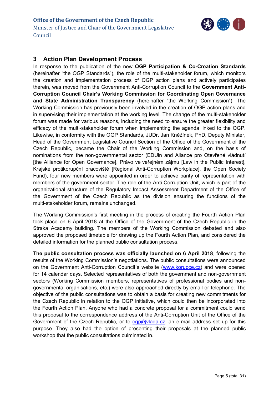

#### <span id="page-4-0"></span>**3 Action Plan Development Process**

In response to the publication of the new **OGP Participation & Co-Creation Standards** (hereinafter "the OGP Standards"), the role of the multi-stakeholder forum, which monitors the creation and implementation process of OGP action plans and actively participates therein, was moved from the Government Anti-Corruption Council to the **Government Anti-Corruption Council Chair's Working Commission for Coordinating Open Governance and State Administration Transparency** (hereinafter "the Working Commission"). The Working Commission has previously been involved in the creation of OGP action plans and in supervising their implementation at the working level. The change of the multi-stakeholder forum was made for various reasons, including the need to ensure the greater flexibility and efficacy of the multi-stakeholder forum when implementing the agenda linked to the OGP. Likewise, in conformity with the OGP Standards, JUDr. Jan Kněžínek, PhD, Deputy Minister, Head of the Government Legislative Council Section of the Office of the Government of the Czech Republic, became the Chair of the Working Commission and, on the basis of nominations from the non-governmental sector (EDUin and Aliance pro Otevřené vládnutí [the Alliance for Open Governance], Právo ve veřejném zájmu [Law in the Public Interest], Krajské protikorupční pracoviště [Regional Anti-Corruption Workplace], the Open Society Fund), four new members were appointed in order to achieve parity of representation with members of the government sector. The role of the Anti-Corruption Unit, which is part of the organizational structure of the Regulatory Impact Assessment Department of the Office of the Government of the Czech Republic as the division ensuring the functions of the multi-stakeholder forum, remains unchanged.

The Working Commission's first meeting in the process of creating the Fourth Action Plan took place on 6 April 2018 at the Office of the Government of the Czech Republic in the Straka Academy building. The members of the Working Commission debated and also approved the proposed timetable for drawing up the Fourth Action Plan, and considered the detailed information for the planned public consultation process.

**The public consultation process was officially launched on 6 April 2018**, following the results of the Working Commission's negotiations. The public consultations were announced on the Government Anti-Corruption Council´s website [\(www.korupce.cz\)](http://www.korupce.cz/) and were opened for 14 calendar days. Selected representatives of both the government and non-government sectors (Working Commission members, representatives of professional bodies and nongovernmental organisations, etc.) were also approached directly by email or telephone. The objective of the public consultations was to obtain a basis for creating new commitments for the Czech Republic in relation to the OGP initiative, which could then be incorporated into the Fourth Action Plan. Anyone who had a concrete proposal for a commitment could send this proposal to the correspondence address of the Anti-Corruption Unit of the Office of the Government of the Czech Republic, or to  $qq\rho\omega$ vlada.cz, an e-mail address set up for this purpose. They also had the option of presenting their proposals at the planned public workshop that the public consultations culminated in.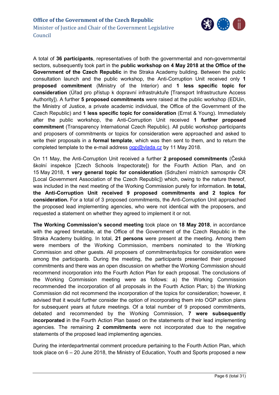

A total of **36 participants**, representatives of both the governmental and non-governmental sectors, subsequently took part in the **public workshop on 4 May 2018 at the Office of the Government of the Czech Republic** in the Straka Academy building. Between the public consultation launch and the public workshop, the Anti-Corruption Unit received only **1 proposed commitment** (Ministry of the Interior) and **1 less specific topic for consideration** (Úřad pro přístup k dopravní infrastruktuře [Transport Infrastructure Access Authority]). A further **5 proposed commitments** were raised at the public workshop (EDUin, the Ministry of Justice, a private academic individual, the Office of the Government of the Czech Republic) and **1 less specific topic for consideration** (Ernst & Young). Immediately after the public workshop, the Anti-Corruption Unit received **1 further proposed commitment** (Transparency International Czech Republic). All public workshop participants and proposers of commitments or topics for consideration were approached and asked to write their proposals in a **formal template**, which was then sent to them, and to return the completed template to the e-mail address  $qq\rho\omega$  vlada.cz by 11 May 2018.

On 11 May, the Anti-Corruption Unit received a further **2 proposed commitments** (Česká školní inspekce [Czech Schools Inspectorate]) for the Fourth Action Plan, and on 15 May 2018, **1 very general topic for consideration** (Sdružení místních samospráv ČR [Local Government Association of the Czech Republic]) which, owing to the nature thereof, was included in the next meeting of the Working Commission purely for information. **In total, the Anti-Corruption Unit received 9 proposed commitments and 2 topics for consideration.** For a total of 3 proposed commitments, the Anti-Corruption Unit approached the proposed lead implementing agencies, who were not identical with the proposers, and requested a statement on whether they agreed to implement it or not.

**The Working Commission's second meeting** took place on **18 May 2018**, in accordance with the agreed timetable, at the Office of the Government of the Czech Republic in the Straka Academy building. In total, **21 persons** were present at the meeting. Among them were members of the Working Commission, members nominated to the Working Commission and other guests. All proposers of commitments/topics for consideration were among the participants. During the meeting, the participants presented their proposed commitments and there was an open discussion on whether the Working Commission should recommend incorporation into the Fourth Action Plan for each proposal. The conclusions of the Working Commission meeting were as follows: a) the Working Commission recommended the incorporation of all proposals in the Fourth Action Plan; b) the Working Commission did not recommend the incorporation of the topics for consideration; however, it advised that it would further consider the option of incorporating them into OGP action plans for subsequent years at future meetings. Of a total number of 9 proposed commitments, debated and recommended by the Working Commission, **7 were subsequently incorporated** in the Fourth Action Plan based on the statements of their lead implementing agencies. The remaining **2 commitments** were not incorporated due to the negative statements of the proposed lead implementing agencies.

During the interdepartmental comment procedure pertaining to the Fourth Action Plan, which took place on 6 – 20 June 2018, the Ministry of Education, Youth and Sports proposed a new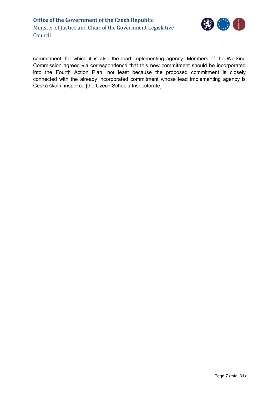

commitment, for which it is also the lead implementing agency. Members of the Working Commission agreed via correspondence that this new commitment should be incorporated into the Fourth Action Plan, not least because the proposed commitment is closely connected with the already incorporated commitment whose lead implementing agency is Česká školní inspekce [the Czech Schools Inspectorate].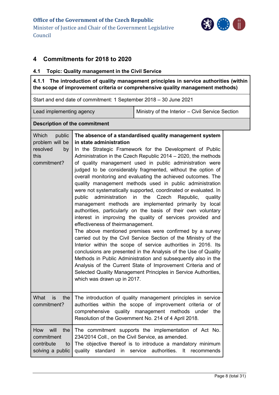

#### <span id="page-7-0"></span>**4 Commitments for 2018 to 2020**

#### <span id="page-7-1"></span>**4.1 Topic: Quality management in the Civil Service**

<span id="page-7-2"></span>**4.1.1 The introduction of quality management principles in service authorities (within the scope of improvement criteria or comprehensive quality management methods)**

Start and end date of commitment: 1 September 2018 – 30 June 2021

Lead implementing agency Ministry of the Interior – Civil Service Section

#### **Description of the commitment**

| Which<br>public<br>problem will be<br>resolved<br>by<br>this<br>commitment? | The absence of a standardised quality management system<br>in state administration<br>In the Strategic Framework for the Development of Public<br>Administration in the Czech Republic 2014 – 2020, the methods<br>of quality management used in public administration were<br>judged to be considerably fragmented, without the option of<br>overall monitoring and evaluating the achieved outcomes. The<br>quality management methods used in public administration<br>were not systematically supported, coordinated or evaluated. In<br>public<br>administration<br>the<br>in<br>Czech Republic,<br>quality<br>management methods are implemented primarily by local<br>authorities, particularly on the basis of their own voluntary<br>interest in improving the quality of services provided and<br>effectiveness of theirmanagement.<br>The above mentioned premises were confirmed by a survey<br>carried out by the Civil Service Section of the Ministry of the<br>Interior within the scope of service authorities in 2016. Its<br>conclusions are presented in the Analysis of the Use of Quality<br>Methods in Public Administration and subsequently also in the<br>Analysis of the Current State of Improvement Criteria and of<br>Selected Quality Management Principles in Service Authorities,<br>which was drawn up in 2017. |
|-----------------------------------------------------------------------------|---------------------------------------------------------------------------------------------------------------------------------------------------------------------------------------------------------------------------------------------------------------------------------------------------------------------------------------------------------------------------------------------------------------------------------------------------------------------------------------------------------------------------------------------------------------------------------------------------------------------------------------------------------------------------------------------------------------------------------------------------------------------------------------------------------------------------------------------------------------------------------------------------------------------------------------------------------------------------------------------------------------------------------------------------------------------------------------------------------------------------------------------------------------------------------------------------------------------------------------------------------------------------------------------------------------------------------------------------|
| What<br><b>is</b><br>the<br>commitment?                                     | The introduction of quality management principles in service<br>authorities within the scope of improvement criteria or of<br>comprehensive quality management methods under the<br>Resolution of the Government No. 214 of 4 April 2018.                                                                                                                                                                                                                                                                                                                                                                                                                                                                                                                                                                                                                                                                                                                                                                                                                                                                                                                                                                                                                                                                                                         |
| How will<br>the<br>commitment<br>contribute<br>to<br>solving a public       | The commitment supports the implementation of Act No.<br>234/2014 Coll., on the Civil Service, as amended.<br>The objective thereof is to introduce a mandatory minimum<br>quality<br>standard in<br>service authorities.<br>It recommends                                                                                                                                                                                                                                                                                                                                                                                                                                                                                                                                                                                                                                                                                                                                                                                                                                                                                                                                                                                                                                                                                                        |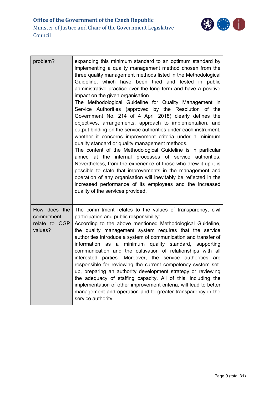

| problem?                                               | expanding this minimum standard to an optimum standard by<br>implementing a quality management method chosen from the<br>three quality management methods listed in the Methodological<br>Guideline, which have been tried and tested in public<br>administrative practice over the long term and have a positive<br>impact on the given organisation.<br>The Methodological Guideline for Quality Management in<br>Service Authorities (approved by the Resolution of the<br>Government No. 214 of 4 April 2018) clearly defines the<br>objectives, arrangements, approach to implementation, and<br>output binding on the service authorities under each instrument,<br>whether it concerns improvement criteria under a minimum<br>quality standard or quality management methods.<br>The content of the Methodological Guideline is in particular<br>aimed at the internal processes of service authorities.<br>Nevertheless, from the experience of those who drew it up it is<br>possible to state that improvements in the management and<br>operation of any organisation will inevitably be reflected in the<br>increased performance of its employees and the increased<br>quality of the services provided. |
|--------------------------------------------------------|------------------------------------------------------------------------------------------------------------------------------------------------------------------------------------------------------------------------------------------------------------------------------------------------------------------------------------------------------------------------------------------------------------------------------------------------------------------------------------------------------------------------------------------------------------------------------------------------------------------------------------------------------------------------------------------------------------------------------------------------------------------------------------------------------------------------------------------------------------------------------------------------------------------------------------------------------------------------------------------------------------------------------------------------------------------------------------------------------------------------------------------------------------------------------------------------------------------------|
| How does the<br>commitment<br>relate to OGP<br>values? | The commitment relates to the values of transparency, civil<br>participation and public responsibility:<br>According to the above mentioned Methodological Guideline,<br>the quality management system requires that the service<br>authorities introduce a system of communication and transfer of<br>information as a<br>minimum quality standard, supporting<br>communication and the cultivation of relationships with all<br>interested parties. Moreover, the service authorities are<br>responsible for reviewing the current competency system set-<br>up, preparing an authority development strategy or reviewing<br>the adequacy of staffing capacity. All of this, including the<br>implementation of other improvement criteria, will lead to better<br>management and operation and to greater transparency in the<br>service authority.                                                                                                                                                                                                                                                                                                                                                                 |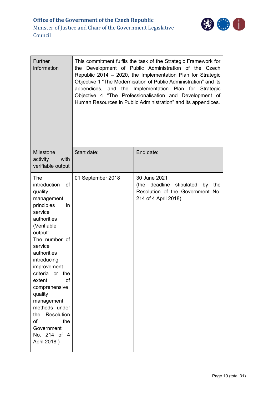

| <b>Further</b><br>information                                                                                                                                                                                                                                                                                                                                                               | This commitment fulfils the task of the Strategic Framework for<br>the Development of Public Administration of the Czech<br>Republic 2014 - 2020, the Implementation Plan for Strategic<br>Objective 1 "The Modernisation of Public Administration" and its<br>appendices, and the Implementation Plan for Strategic<br>Objective 4 "The Professionalisation and Development of<br>Human Resources in Public Administration" and its appendices. |                                                                                                                   |  |  |  |
|---------------------------------------------------------------------------------------------------------------------------------------------------------------------------------------------------------------------------------------------------------------------------------------------------------------------------------------------------------------------------------------------|--------------------------------------------------------------------------------------------------------------------------------------------------------------------------------------------------------------------------------------------------------------------------------------------------------------------------------------------------------------------------------------------------------------------------------------------------|-------------------------------------------------------------------------------------------------------------------|--|--|--|
| <b>Milestone</b><br>activity<br>with<br>verifiable output                                                                                                                                                                                                                                                                                                                                   | Start date:                                                                                                                                                                                                                                                                                                                                                                                                                                      | End date:                                                                                                         |  |  |  |
| <b>The</b><br>of<br>introduction<br>quality<br>management<br>principles<br>in<br>service<br>authorities<br>(Verifiable<br>output:<br>The number of<br>service<br>authorities<br>introducing<br>improvement<br>criteria<br>or the<br>extent<br>of<br>comprehensive<br>quality<br>management<br>methods under<br>Resolution<br>the<br>of<br>the<br>Government<br>No. 214 of 4<br>April 2018.) | 01 September 2018                                                                                                                                                                                                                                                                                                                                                                                                                                | 30 June 2021<br>(the deadline stipulated<br>by<br>the<br>Resolution of the Government No.<br>214 of 4 April 2018) |  |  |  |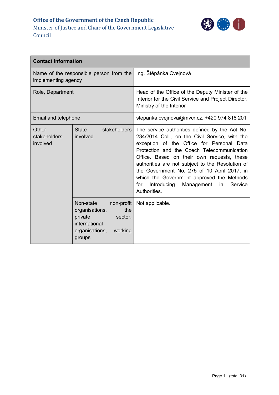

| <b>Contact information</b>        |                                                                                                                                |                                                                                                                                                                                                                                                                                                                                                                                                                                                                |  |
|-----------------------------------|--------------------------------------------------------------------------------------------------------------------------------|----------------------------------------------------------------------------------------------------------------------------------------------------------------------------------------------------------------------------------------------------------------------------------------------------------------------------------------------------------------------------------------------------------------------------------------------------------------|--|
| implementing agency               | Name of the responsible person from the                                                                                        | Ing. Štěpánka Cvejnová                                                                                                                                                                                                                                                                                                                                                                                                                                         |  |
| Role, Department                  |                                                                                                                                | Head of the Office of the Deputy Minister of the<br>Interior for the Civil Service and Project Director,<br>Ministry of the Interior                                                                                                                                                                                                                                                                                                                           |  |
| Email and telephone               |                                                                                                                                | stepanka.cvejnova@mvcr.cz, +420 974 818 201                                                                                                                                                                                                                                                                                                                                                                                                                    |  |
| Other<br>stakeholders<br>involved | stakeholders<br><b>State</b><br>involved                                                                                       | The service authorities defined by the Act No.<br>234/2014 Coll., on the Civil Service, with the<br>exception of the Office for Personal Data<br>Protection and the Czech Telecommunication<br>Office. Based on their own requests, these<br>authorities are not subject to the Resolution of<br>the Government No. 275 of 10 April 2017, in<br>which the Government approved the Methods<br>Introducing<br>Management<br>Service<br>for<br>in<br>Authorities. |  |
|                                   | Non-state<br>non-profit<br>organisations,<br>the<br>private<br>sector,<br>international<br>organisations,<br>working<br>groups | Not applicable.                                                                                                                                                                                                                                                                                                                                                                                                                                                |  |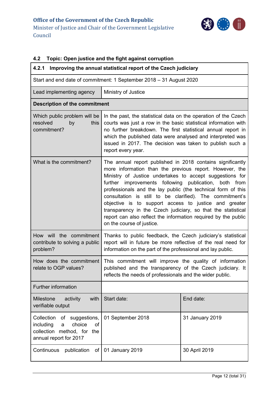

### <span id="page-11-0"></span>**4.2 Topic: Open justice and the fight against corruption**

<span id="page-11-1"></span>

| 4.2.1<br>Improving the annual statistical report of the Czech judiciary                                                           |                                                                                                                                                                                                                                                                                                                                                                                                                                                                                                                                                                                                      |                 |  |  |
|-----------------------------------------------------------------------------------------------------------------------------------|------------------------------------------------------------------------------------------------------------------------------------------------------------------------------------------------------------------------------------------------------------------------------------------------------------------------------------------------------------------------------------------------------------------------------------------------------------------------------------------------------------------------------------------------------------------------------------------------------|-----------------|--|--|
| Start and end date of commitment: 1 September 2018 - 31 August 2020                                                               |                                                                                                                                                                                                                                                                                                                                                                                                                                                                                                                                                                                                      |                 |  |  |
| Lead implementing agency                                                                                                          | Ministry of Justice                                                                                                                                                                                                                                                                                                                                                                                                                                                                                                                                                                                  |                 |  |  |
| <b>Description of the commitment</b>                                                                                              |                                                                                                                                                                                                                                                                                                                                                                                                                                                                                                                                                                                                      |                 |  |  |
| Which public problem will be<br>resolved<br>this<br>by<br>commitment?                                                             | In the past, the statistical data on the operation of the Czech<br>courts was just a row in the basic statistical information with<br>no further breakdown. The first statistical annual report in<br>which the published data were analysed and interpreted was<br>issued in 2017. The decision was taken to publish such a<br>report every year.                                                                                                                                                                                                                                                   |                 |  |  |
| What is the commitment?                                                                                                           | The annual report published in 2018 contains significantly<br>more information than the previous report. However, the<br>Ministry of Justice undertakes to accept suggestions for<br>further<br>improvements following publication, both<br>from<br>professionals and the lay public (the technical form of this<br>consultation is still to be clarified). The commitment's<br>objective is to support access to justice and greater<br>transparency in the Czech judiciary, so that the statistical<br>report can also reflect the information required by the public<br>on the course of justice. |                 |  |  |
| How will the commitment<br>contribute to solving a public<br>problem?                                                             | Thanks to public feedback, the Czech judiciary's statistical<br>report will in future be more reflective of the real need for<br>information on the part of the professional and lay public.                                                                                                                                                                                                                                                                                                                                                                                                         |                 |  |  |
| How does the commitment<br>relate to OGP values?                                                                                  | This commitment will improve the quality of information<br>published and the transparency of the Czech judiciary. It<br>reflects the needs of professionals and the wider public.                                                                                                                                                                                                                                                                                                                                                                                                                    |                 |  |  |
| Further information                                                                                                               |                                                                                                                                                                                                                                                                                                                                                                                                                                                                                                                                                                                                      |                 |  |  |
| with<br>Milestone<br>activity<br>verifiable output                                                                                | Start date:                                                                                                                                                                                                                                                                                                                                                                                                                                                                                                                                                                                          | End date:       |  |  |
| Collection<br>of<br>suggestions,<br>including<br>choice<br><b>of</b><br>a<br>collection method, for the<br>annual report for 2017 | 01 September 2018                                                                                                                                                                                                                                                                                                                                                                                                                                                                                                                                                                                    | 31 January 2019 |  |  |
| Continuous<br>publication<br>of                                                                                                   | 01 January 2019                                                                                                                                                                                                                                                                                                                                                                                                                                                                                                                                                                                      | 30 April 2019   |  |  |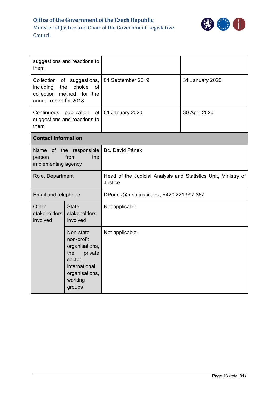

| suggestions and reactions to<br>them                                                                                             |                                                                                                                                |                                                                           |                 |
|----------------------------------------------------------------------------------------------------------------------------------|--------------------------------------------------------------------------------------------------------------------------------|---------------------------------------------------------------------------|-----------------|
| Collection<br>of suggestions,<br>including<br>the<br>choice<br><b>of</b><br>collection method, for the<br>annual report for 2018 |                                                                                                                                | 01 September 2019                                                         | 31 January 2020 |
| Continuous<br>them                                                                                                               | publication<br>of<br>suggestions and reactions to                                                                              | 01 January 2020                                                           | 30 April 2020   |
| <b>Contact information</b>                                                                                                       |                                                                                                                                |                                                                           |                 |
| person<br>implementing agency                                                                                                    | Name of the responsible<br>from<br>the                                                                                         | Bc. David Pánek                                                           |                 |
| Role, Department                                                                                                                 |                                                                                                                                | Head of the Judicial Analysis and Statistics Unit, Ministry of<br>Justice |                 |
| Email and telephone                                                                                                              |                                                                                                                                | DPanek@msp.justice.cz, +420 221 997 367                                   |                 |
| Other<br><b>State</b><br>stakeholders<br>stakeholders<br>involved<br>involved                                                    |                                                                                                                                | Not applicable.                                                           |                 |
|                                                                                                                                  | Non-state<br>non-profit<br>organisations,<br>the<br>private<br>sector.<br>international<br>organisations,<br>working<br>groups | Not applicable.                                                           |                 |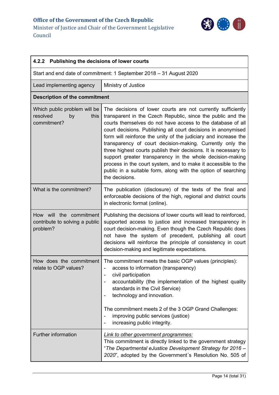

<span id="page-13-0"></span>

| 4.2.2 Publishing the decisions of lower courts                        |                                                                                                                                                                                                                                                                                                                                                                                                                                                                                                                                                                                                                                                                                  |  |  |
|-----------------------------------------------------------------------|----------------------------------------------------------------------------------------------------------------------------------------------------------------------------------------------------------------------------------------------------------------------------------------------------------------------------------------------------------------------------------------------------------------------------------------------------------------------------------------------------------------------------------------------------------------------------------------------------------------------------------------------------------------------------------|--|--|
| Start and end date of commitment: 1 September 2018 - 31 August 2020   |                                                                                                                                                                                                                                                                                                                                                                                                                                                                                                                                                                                                                                                                                  |  |  |
| Lead implementing agency                                              | Ministry of Justice                                                                                                                                                                                                                                                                                                                                                                                                                                                                                                                                                                                                                                                              |  |  |
| <b>Description of the commitment</b>                                  |                                                                                                                                                                                                                                                                                                                                                                                                                                                                                                                                                                                                                                                                                  |  |  |
| Which public problem will be<br>resolved<br>this<br>by<br>commitment? | The decisions of lower courts are not currently sufficiently<br>transparent in the Czech Republic, since the public and the<br>courts themselves do not have access to the database of all<br>court decisions. Publishing all court decisions in anonymised<br>form will reinforce the unity of the judiciary and increase the<br>transparency of court decision-making. Currently only the<br>three highest courts publish their decisions. It is necessary to<br>support greater transparency in the whole decision-making<br>process in the court system, and to make it accessible to the<br>public in a suitable form, along with the option of searching<br>the decisions. |  |  |
| What is the commitment?                                               | The publication (disclosure) of the texts of the final and<br>enforceable decisions of the high, regional and district courts<br>in electronic format (online).                                                                                                                                                                                                                                                                                                                                                                                                                                                                                                                  |  |  |
| How will the commitment<br>contribute to solving a public<br>problem? | Publishing the decisions of lower courts will lead to reinforced,<br>supported access to justice and increased transparency in<br>court decision-making. Even though the Czech Republic does<br>not have the system of precedent, publishing all court<br>decisions will reinforce the principle of consistency in court<br>decision-making and legitimate expectations.                                                                                                                                                                                                                                                                                                         |  |  |
| How does the commitment<br>relate to OGP values?                      | The commitment meets the basic OGP values (principles):<br>access to information (transparency)<br>civil participation<br>-<br>accountability (the implementation of the highest quality<br>standards in the Civil Service)<br>technology and innovation.<br>The commitment meets 2 of the 3 OGP Grand Challenges:<br>improving public services (justice)<br>increasing public integrity.                                                                                                                                                                                                                                                                                        |  |  |
| Further information                                                   | Link to other government programmes:<br>This commitment is directly linked to the government strategy<br>"The Departmental eJustice Development Strategy for 2016 -<br>2020", adopted by the Government's Resolution No. 505 of                                                                                                                                                                                                                                                                                                                                                                                                                                                  |  |  |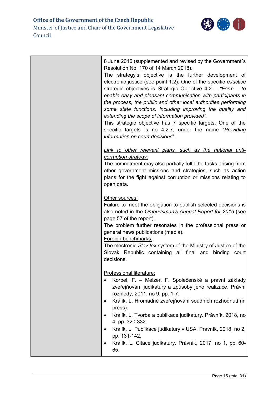

| 8 June 2016 (supplemented and revised by the Government's<br>Resolution No. 170 of 14 March 2018).<br>The strategy's objective is the further development of<br>electronic justice (see point 1.2). One of the specific eJustice<br>strategic objectives is Strategic Objective 4.2 - "Form - to<br>enable easy and pleasant communication with participants in<br>the process, the public and other local authorities performing<br>some state functions, including improving the quality and<br>extending the scope of information provided".<br>This strategic objective has 7 specific targets. One of the<br>specific targets is no 4.2.7, under the name "Providing<br>information on court decisions". |
|---------------------------------------------------------------------------------------------------------------------------------------------------------------------------------------------------------------------------------------------------------------------------------------------------------------------------------------------------------------------------------------------------------------------------------------------------------------------------------------------------------------------------------------------------------------------------------------------------------------------------------------------------------------------------------------------------------------|
| Link to other relevant plans, such as the national anti-<br>corruption strategy:<br>The commitment may also partially fulfil the tasks arising from<br>other government missions and strategies, such as action<br>plans for the fight against corruption or missions relating to<br>open data.                                                                                                                                                                                                                                                                                                                                                                                                               |
| Other sources:<br>Failure to meet the obligation to publish selected decisions is<br>also noted in the Ombudsman's Annual Report for 2016 (see<br>page 57 of the report).<br>The problem further resonates in the professional press or<br>general news publications (media).<br>Foreign benchmarks:<br>The electronic Slov-lex system of the Ministry of Justice of the<br>Slovak Republic containing all final and binding court<br>decisions.                                                                                                                                                                                                                                                              |
| Professional literature:<br>Korbel, F. – Melzer, F. Společenské a právní základy<br>zveřejňování judikatury a způsoby jeho realizace. Právní<br>rozhledy, 2011, no 9, pp. 1-7.<br>Králík, L. Hromadné zveřejňování soudních rozhodnutí (in<br>$\bullet$<br>press).<br>Králík, L. Tvorba a publikace judikatury. Právník, 2018, no<br>4, pp. 320-332.<br>Králík, L. Publikace judikatury v USA. Právník, 2018, no 2,<br>pp. 131-142.<br>Králík, L. Citace judikatury. Právník, 2017, no 1, pp. 60-<br>65.                                                                                                                                                                                                      |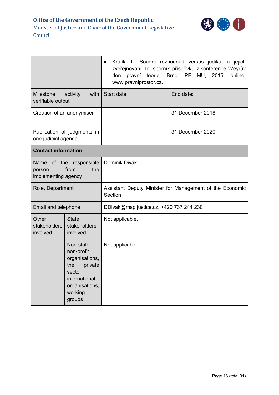

|                                       |                                                                                                                                | Králík, L. Soudní rozhodnutí versus judikát a jejich<br>zveřejňování. In: sborník příspěvků z konference Weyrův<br>právní teorie,<br>Brno: PF MU, 2015,<br>online:<br>den<br>www.pravniprostor.cz. |                  |  |  |
|---------------------------------------|--------------------------------------------------------------------------------------------------------------------------------|----------------------------------------------------------------------------------------------------------------------------------------------------------------------------------------------------|------------------|--|--|
| <b>Milestone</b><br>verifiable output | activity<br>with                                                                                                               | Start date:                                                                                                                                                                                        | End date:        |  |  |
| Creation of an anonymiser             |                                                                                                                                |                                                                                                                                                                                                    | 31 December 2018 |  |  |
| one judicial agenda                   | Publication of judgments in                                                                                                    |                                                                                                                                                                                                    | 31 December 2020 |  |  |
| <b>Contact information</b>            |                                                                                                                                |                                                                                                                                                                                                    |                  |  |  |
| person<br>implementing agency         | Name of the responsible<br>from<br>the                                                                                         | Dominik Divák                                                                                                                                                                                      |                  |  |  |
| Role, Department                      |                                                                                                                                | Assistant Deputy Minister for Management of the Economic<br>Section                                                                                                                                |                  |  |  |
| Email and telephone                   |                                                                                                                                | DDivak@msp.justice.cz, +420 737 244 230                                                                                                                                                            |                  |  |  |
| Other<br>stakeholders<br>involved     | <b>State</b><br>stakeholders<br>involved                                                                                       | Not applicable.                                                                                                                                                                                    |                  |  |  |
|                                       | Non-state<br>non-profit<br>organisations,<br>private<br>the<br>sector,<br>international<br>organisations,<br>working<br>groups | Not applicable.                                                                                                                                                                                    |                  |  |  |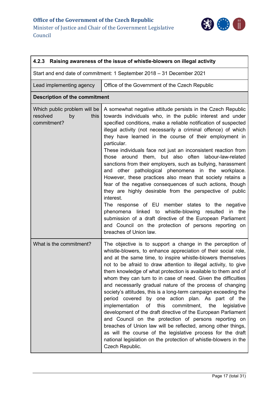

<span id="page-16-0"></span>

| 4.2.3 Raising awareness of the issue of whistle-blowers on illegal activity |                                                                                                                                                                                                                                                                                                                                                                                                                                                                                                                                                                                                                                                                                                                                                                                                                                                                                                                                                                                                                                                               |  |  |  |
|-----------------------------------------------------------------------------|---------------------------------------------------------------------------------------------------------------------------------------------------------------------------------------------------------------------------------------------------------------------------------------------------------------------------------------------------------------------------------------------------------------------------------------------------------------------------------------------------------------------------------------------------------------------------------------------------------------------------------------------------------------------------------------------------------------------------------------------------------------------------------------------------------------------------------------------------------------------------------------------------------------------------------------------------------------------------------------------------------------------------------------------------------------|--|--|--|
|                                                                             | Start and end date of commitment: 1 September 2018 - 31 December 2021                                                                                                                                                                                                                                                                                                                                                                                                                                                                                                                                                                                                                                                                                                                                                                                                                                                                                                                                                                                         |  |  |  |
| Lead implementing agency                                                    | Office of the Government of the Czech Republic                                                                                                                                                                                                                                                                                                                                                                                                                                                                                                                                                                                                                                                                                                                                                                                                                                                                                                                                                                                                                |  |  |  |
| <b>Description of the commitment</b>                                        |                                                                                                                                                                                                                                                                                                                                                                                                                                                                                                                                                                                                                                                                                                                                                                                                                                                                                                                                                                                                                                                               |  |  |  |
| Which public problem will be<br>resolved<br>by<br>this<br>commitment?       | A somewhat negative attitude persists in the Czech Republic<br>towards individuals who, in the public interest and under<br>specified conditions, make a reliable notification of suspected<br>illegal activity (not necessarily a criminal offence) of which<br>they have learned in the course of their employment in<br>particular.<br>These individuals face not just an inconsistent reaction from<br>those around them, but also often labour-law-related<br>sanctions from their employers, such as bullying, harassment<br>and other pathological phenomena in the workplace.<br>However, these practices also mean that society retains a<br>fear of the negative consequences of such actions, though<br>they are highly desirable from the perspective of public<br>interest.<br>The response of EU member states to the negative<br>phenomena linked to whistle-blowing<br>resulted<br>in<br>the<br>submission of a draft directive of the European Parliament<br>and Council on the protection of persons reporting on<br>breaches of Union law. |  |  |  |
| What is the commitment?                                                     | The objective is to support a change in the perception of<br>whistle-blowers, to enhance appreciation of their social role,<br>and at the same time, to inspire whistle-blowers themselves<br>not to be afraid to draw attention to illegal activity, to give<br>them knowledge of what protection is available to them and of<br>whom they can turn to in case of need. Given the difficulties<br>and necessarily gradual nature of the process of changing<br>society's attitudes, this is a long-term campaign exceeding the<br>by one action plan. As part of the<br>period covered<br>this commitment, the<br>implementation<br>of<br>legislative<br>development of the draft directive of the European Parliament<br>and Council on the protection of persons reporting on<br>breaches of Union law will be reflected, among other things,<br>as will the course of the legislative process for the draft<br>national legislation on the protection of whistle-blowers in the<br>Czech Republic.                                                        |  |  |  |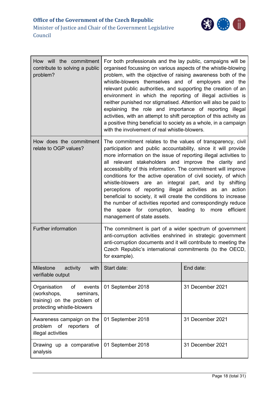

| How will the commitment<br>contribute to solving a public<br>problem?                                                 | For both professionals and the lay public, campaigns will be<br>organised focussing on various aspects of the whistle-blowing<br>problem, with the objective of raising awareness both of the<br>whistle-blowers themselves and of employers and the<br>relevant public authorities, and supporting the creation of an<br>environment in which the reporting of illegal activities is<br>neither punished nor stigmatised. Attention will also be paid to<br>explaining the role and importance of reporting illegal<br>activities, with an attempt to shift perception of this activity as<br>a positive thing beneficial to society as a whole, in a campaign<br>with the involvement of real whistle-blowers.                                             |                  |
|-----------------------------------------------------------------------------------------------------------------------|--------------------------------------------------------------------------------------------------------------------------------------------------------------------------------------------------------------------------------------------------------------------------------------------------------------------------------------------------------------------------------------------------------------------------------------------------------------------------------------------------------------------------------------------------------------------------------------------------------------------------------------------------------------------------------------------------------------------------------------------------------------|------------------|
| How does the commitment<br>relate to OGP values?                                                                      | The commitment relates to the values of transparency, civil<br>participation and public accountability, since it will provide<br>more information on the issue of reporting illegal activities to<br>all relevant stakeholders and improve the clarity and<br>accessibility of this information. The commitment will improve<br>conditions for the active operation of civil society, of which<br>whistle-blowers are an integral part, and<br>by shifting<br>perceptions of reporting illegal activities as an action<br>beneficial to society, it will create the conditions to increase<br>the number of activities reported and correspondingly reduce<br>space for corruption, leading<br>efficient<br>to<br>the<br>more<br>management of state assets. |                  |
| <b>Further information</b>                                                                                            | The commitment is part of a wider spectrum of government<br>anti-corruption activities enshrined in strategic government<br>anti-corruption documents and it will contribute to meeting the<br>Czech Republic's international commitments (to the OECD,<br>for example).                                                                                                                                                                                                                                                                                                                                                                                                                                                                                     |                  |
| Milestone<br>activity<br>with<br>verifiable output                                                                    | Start date:                                                                                                                                                                                                                                                                                                                                                                                                                                                                                                                                                                                                                                                                                                                                                  | End date:        |
| Organisation<br>of<br>events<br>(workshops,<br>seminars,<br>training) on the problem of<br>protecting whistle-blowers | 01 September 2018                                                                                                                                                                                                                                                                                                                                                                                                                                                                                                                                                                                                                                                                                                                                            | 31 December 2021 |
| Awareness campaign on the<br>of reporters<br>problem<br>of<br>illegal activities                                      | 01 September 2018                                                                                                                                                                                                                                                                                                                                                                                                                                                                                                                                                                                                                                                                                                                                            | 31 December 2021 |
| Drawing up a comparative<br>analysis                                                                                  | 01 September 2018                                                                                                                                                                                                                                                                                                                                                                                                                                                                                                                                                                                                                                                                                                                                            | 31 December 2021 |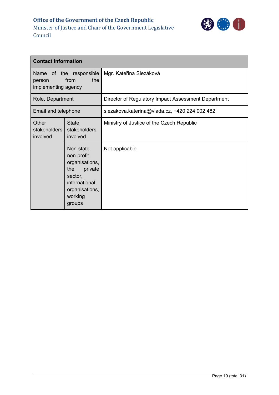

| <b>Contact information</b>                                              |                                                                                                                                |                                                     |  |
|-------------------------------------------------------------------------|--------------------------------------------------------------------------------------------------------------------------------|-----------------------------------------------------|--|
| Name of the responsible<br>the<br>from<br>person<br>implementing agency |                                                                                                                                | Mgr. Kateřina Slezáková                             |  |
| Role, Department                                                        |                                                                                                                                | Director of Regulatory Impact Assessment Department |  |
| Email and telephone                                                     |                                                                                                                                | slezakova.katerina@vlada.cz, +420 224 002 482       |  |
| Other<br>stakeholders<br>involved                                       | <b>State</b><br>stakeholders<br>involved                                                                                       | Ministry of Justice of the Czech Republic           |  |
|                                                                         | Non-state<br>non-profit<br>organisations,<br>private<br>the<br>sector,<br>international<br>organisations,<br>working<br>groups | Not applicable.                                     |  |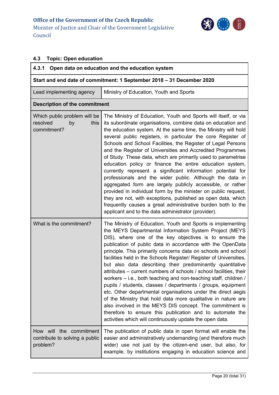

### <span id="page-19-0"></span>**4.3 Topic: Open education**

<span id="page-19-2"></span><span id="page-19-1"></span>

| 4.3.1<br>Open data on education and the education system              |                                                                                                                                                                                                                                                                                                                                                                                                                                                                                                                                                                                                                                                                                                                                                                                                                                                                                                                                                                                  |  |  |
|-----------------------------------------------------------------------|----------------------------------------------------------------------------------------------------------------------------------------------------------------------------------------------------------------------------------------------------------------------------------------------------------------------------------------------------------------------------------------------------------------------------------------------------------------------------------------------------------------------------------------------------------------------------------------------------------------------------------------------------------------------------------------------------------------------------------------------------------------------------------------------------------------------------------------------------------------------------------------------------------------------------------------------------------------------------------|--|--|
| Start and end date of commitment: 1 September 2018 - 31 December 2020 |                                                                                                                                                                                                                                                                                                                                                                                                                                                                                                                                                                                                                                                                                                                                                                                                                                                                                                                                                                                  |  |  |
| Lead implementing agency                                              | Ministry of Education, Youth and Sports                                                                                                                                                                                                                                                                                                                                                                                                                                                                                                                                                                                                                                                                                                                                                                                                                                                                                                                                          |  |  |
| <b>Description of the commitment</b>                                  |                                                                                                                                                                                                                                                                                                                                                                                                                                                                                                                                                                                                                                                                                                                                                                                                                                                                                                                                                                                  |  |  |
| Which public problem will be<br>resolved<br>this<br>by<br>commitment? | The Ministry of Education, Youth and Sports will itself, or via<br>its subordinate organisations, combine data on education and<br>the education system. At the same time, the Ministry will hold<br>several public registers, in particular the core Register of<br>Schools and School Facilities, the Register of Legal Persons<br>and the Register of Universities and Accredited Programmes<br>of Study. These data, which are primarily used to parametrise<br>education policy or finance the entire education system,<br>currently represent a significant information potential for<br>professionals and the wider public. Although the data in<br>aggregated form are largely publicly accessible, or rather<br>provided in individual form by the minister on public request,<br>they are not, with exceptions, published as open data, which<br>frequently causes a great administrative burden both to the<br>applicant and to the data administrator (provider).    |  |  |
| What is the commitment?                                               | The Ministry of Education, Youth and Sports is implementing<br>the MEYS Departmental Information System Project (MEYS<br>DIS), where one of the key objectives is to ensure the<br>publication of public data in accordance with the OpenData<br>principle. This primarily concerns data on schools and school<br>facilities held in the Schools Register/ Register of Universities,<br>but also data describing their predominantly quantitative<br>attributes - current numbers of schools / school facilities, their<br>workers – i.e., both teaching and non-teaching staff, children /<br>pupils / students, classes / departments / groups, equipment<br>etc. Other departmental organisations under the direct aegis<br>of the Ministry that hold data more qualitative in nature are<br>also involved in the MEYS DIS concept. The commitment is<br>therefore to ensure this publication and to automate the<br>activities which will continuously update the open data. |  |  |
| How will the commitment<br>contribute to solving a public<br>problem? | The publication of public data in open format will enable the<br>easier and administratively undemanding (and therefore much<br>wider) use not just by the citizen-end user, but also, for<br>example, by institutions engaging in education science and                                                                                                                                                                                                                                                                                                                                                                                                                                                                                                                                                                                                                                                                                                                         |  |  |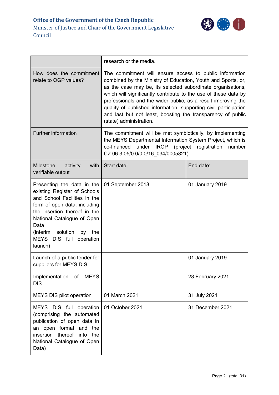

|                                                                                                                                                                                                                                                                             | research or the media.                                                                                                                                                                                                                                                                                                                                                                                                                                                                   |                  |
|-----------------------------------------------------------------------------------------------------------------------------------------------------------------------------------------------------------------------------------------------------------------------------|------------------------------------------------------------------------------------------------------------------------------------------------------------------------------------------------------------------------------------------------------------------------------------------------------------------------------------------------------------------------------------------------------------------------------------------------------------------------------------------|------------------|
| How does the commitment<br>relate to OGP values?                                                                                                                                                                                                                            | The commitment will ensure access to public information<br>combined by the Ministry of Education, Youth and Sports, or,<br>as the case may be, its selected subordinate organisations,<br>which will significantly contribute to the use of these data by<br>professionals and the wider public, as a result improving the<br>quality of published information, supporting civil participation<br>and last but not least, boosting the transparency of public<br>(state) administration. |                  |
| Further information                                                                                                                                                                                                                                                         | The commitment will be met symbiotically, by implementing<br>the MEYS Departmental Information System Project, which is<br>co-financed under IROP<br>(project registration<br>number<br>CZ.06.3.05/0.0/0.0/16_034/0005821).                                                                                                                                                                                                                                                              |                  |
| Milestone<br>activity<br>with<br>verifiable output                                                                                                                                                                                                                          | Start date:                                                                                                                                                                                                                                                                                                                                                                                                                                                                              | End date:        |
| Presenting the data in the<br>existing Register of Schools<br>and School Facilities in the<br>form of open data, including<br>the insertion thereof in the<br>National Catalogue of Open<br>Data<br>solution<br>(interim<br>by<br>the<br>MEYS DIS full operation<br>launch) | 01 September 2018                                                                                                                                                                                                                                                                                                                                                                                                                                                                        | 01 January 2019  |
| Launch of a public tender for<br>suppliers for MEYS DIS                                                                                                                                                                                                                     |                                                                                                                                                                                                                                                                                                                                                                                                                                                                                          | 01 January 2019  |
| <b>MEYS</b><br>Implementation of<br><b>DIS</b>                                                                                                                                                                                                                              |                                                                                                                                                                                                                                                                                                                                                                                                                                                                                          | 28 February 2021 |
| MEYS DIS pilot operation                                                                                                                                                                                                                                                    | 01 March 2021                                                                                                                                                                                                                                                                                                                                                                                                                                                                            | 31 July 2021     |
| MEYS DIS full operation<br>(comprising the automated<br>publication of open data in<br>format and the<br>an open<br>insertion thereof<br>into<br>the<br>National Catalogue of Open<br>Data)                                                                                 | 01 October 2021                                                                                                                                                                                                                                                                                                                                                                                                                                                                          | 31 December 2021 |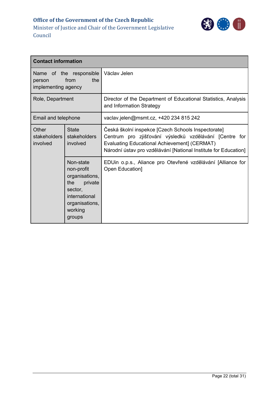

| <b>Contact information</b>                                              |                                                                                                                                |                                                                                                                                                                                                                                        |  |
|-------------------------------------------------------------------------|--------------------------------------------------------------------------------------------------------------------------------|----------------------------------------------------------------------------------------------------------------------------------------------------------------------------------------------------------------------------------------|--|
| Name of the responsible<br>the<br>from<br>person<br>implementing agency |                                                                                                                                | Václav Jelen                                                                                                                                                                                                                           |  |
| Role, Department                                                        |                                                                                                                                | Director of the Department of Educational Statistics, Analysis<br>and Information Strategy                                                                                                                                             |  |
| Email and telephone                                                     |                                                                                                                                | vaclav.jelen@msmt.cz, +420 234 815 242                                                                                                                                                                                                 |  |
| Other<br>stakeholders<br>involved                                       | <b>State</b><br>stakeholders<br>involved                                                                                       | Česká školní inspekce [Czech Schools Inspectorate]<br>Centrum pro zjišťování výsledků vzdělávání [Centre for<br><b>Evaluating Educational Achievement] (CERMAT)</b><br>Národní ústav pro vzdělávání [National Institute for Education] |  |
|                                                                         | Non-state<br>non-profit<br>organisations,<br>private<br>the<br>sector,<br>international<br>organisations,<br>working<br>groups | EDUin o.p.s., Aliance pro Otevřené vzdělávání [Alliance for<br>Open Education]                                                                                                                                                         |  |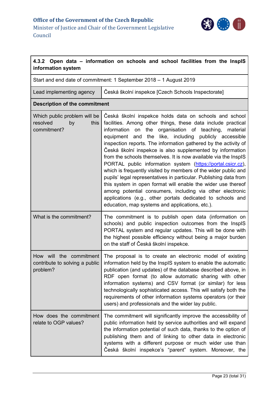

<span id="page-22-0"></span>

| 4.3.2 Open data – information on schools and school facilities from the InspIS<br>information system |                                                                                                                                                                                                                                                                                                                                                                                                                                                                                                                                                                                                                                                                                                                                                                                                                                                                                                       |  |  |
|------------------------------------------------------------------------------------------------------|-------------------------------------------------------------------------------------------------------------------------------------------------------------------------------------------------------------------------------------------------------------------------------------------------------------------------------------------------------------------------------------------------------------------------------------------------------------------------------------------------------------------------------------------------------------------------------------------------------------------------------------------------------------------------------------------------------------------------------------------------------------------------------------------------------------------------------------------------------------------------------------------------------|--|--|
| Start and end date of commitment: 1 September 2018 - 1 August 2019                                   |                                                                                                                                                                                                                                                                                                                                                                                                                                                                                                                                                                                                                                                                                                                                                                                                                                                                                                       |  |  |
| Lead implementing agency                                                                             | Česká školní inspekce [Czech Schools Inspectorate]                                                                                                                                                                                                                                                                                                                                                                                                                                                                                                                                                                                                                                                                                                                                                                                                                                                    |  |  |
| <b>Description of the commitment</b>                                                                 |                                                                                                                                                                                                                                                                                                                                                                                                                                                                                                                                                                                                                                                                                                                                                                                                                                                                                                       |  |  |
| Which public problem will be<br>resolved<br>by<br>this<br>commitment?                                | Česká školní inspekce holds data on schools and school<br>facilities. Among other things, these data include practical<br>information on the<br>organisation of teaching,<br>material<br>equipment and the like, including publicly accessible<br>inspection reports. The information gathered by the activity of<br>Česká školní inspekce is also supplemented by information<br>from the schools themselves. It is now available via the InspIS<br>PORTAL public information system (https://portal.csicr.cz),<br>which is frequently visited by members of the wider public and<br>pupils' legal representatives in particular. Publishing data from<br>this system in open format will enable the wider use thereof<br>among potential consumers, including via other electronic<br>applications (e.g., other portals dedicated to schools and<br>education, map systems and applications, etc.). |  |  |
| What is the commitment?                                                                              | The commitment is to publish open data (information on<br>schools) and public inspection outcomes from the InspIS<br>PORTAL system and regular updates. This will be done with<br>the highest possible efficiency without being a major burden<br>on the staff of Česká školní inspekce.                                                                                                                                                                                                                                                                                                                                                                                                                                                                                                                                                                                                              |  |  |
| How will the commitment<br>contribute to solving a public<br>problem?                                | The proposal is to create an electronic model of existing<br>information held by the InspIS system to enable the automatic<br>publication (and updates) of the database described above, in<br>RDF open format (to allow automatic sharing with other<br>information systems) and CSV format (or similar) for less<br>technologically sophisticated access. This will satisfy both the<br>requirements of other information systems operators (or their<br>users) and professionals and the wider lay public.                                                                                                                                                                                                                                                                                                                                                                                         |  |  |
| How does the commitment<br>relate to OGP values?                                                     | The commitment will significantly improve the accessibility of<br>public information held by service authorities and will expand<br>the information potential of such data, thanks to the option of<br>publishing them and of linking to other data in electronic<br>systems with a different purpose or much wider use than<br>Česká školní inspekce's "parent" system. Moreover, the                                                                                                                                                                                                                                                                                                                                                                                                                                                                                                                |  |  |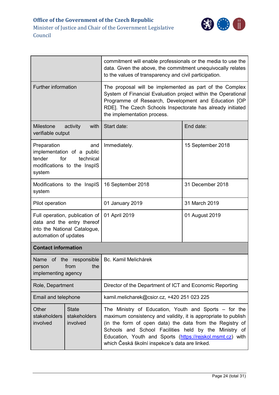

|                                                                                                                         |                                          | commitment will enable professionals or the media to use the<br>data. Given the above, the commitment unequivocally relates<br>to the values of transparency and civil participation.                                                                                                                                                                             |                   |
|-------------------------------------------------------------------------------------------------------------------------|------------------------------------------|-------------------------------------------------------------------------------------------------------------------------------------------------------------------------------------------------------------------------------------------------------------------------------------------------------------------------------------------------------------------|-------------------|
| <b>Further information</b>                                                                                              |                                          | The proposal will be implemented as part of the Complex<br>System of Financial Evaluation project within the Operational<br>Programme of Research, Development and Education [OP<br>RDE]. The Czech Schools Inspectorate has already initiated<br>the implementation process.                                                                                     |                   |
| <b>Milestone</b><br>verifiable output                                                                                   | activity<br>with                         | Start date:                                                                                                                                                                                                                                                                                                                                                       | End date:         |
| Preparation<br>and<br>implementation of a public<br>tender<br>for<br>technical<br>modifications to the InspIS<br>system |                                          | Immediately.                                                                                                                                                                                                                                                                                                                                                      | 15 September 2018 |
| Modifications to the InspIS<br>system                                                                                   |                                          | 16 September 2018                                                                                                                                                                                                                                                                                                                                                 | 31 December 2018  |
| Pilot operation                                                                                                         |                                          | 01 January 2019                                                                                                                                                                                                                                                                                                                                                   | 31 March 2019     |
| Full operation, publication of<br>data and the entry thereof<br>into the National Catalogue,<br>automation of updates   |                                          | 01 April 2019                                                                                                                                                                                                                                                                                                                                                     | 01 August 2019    |
| <b>Contact information</b>                                                                                              |                                          |                                                                                                                                                                                                                                                                                                                                                                   |                   |
| Name of the responsible<br>the<br>from<br>person<br>implementing agency                                                 |                                          | Bc. Kamil Melichárek                                                                                                                                                                                                                                                                                                                                              |                   |
| Role, Department                                                                                                        |                                          | Director of the Department of ICT and Economic Reporting                                                                                                                                                                                                                                                                                                          |                   |
| Email and telephone                                                                                                     |                                          | kamil.melicharek@csicr.cz, +420 251 023 225                                                                                                                                                                                                                                                                                                                       |                   |
| Other<br>stakeholders<br>involved                                                                                       | <b>State</b><br>stakeholders<br>involved | The Ministry of Education, Youth and Sports $-$ for the<br>maximum consistency and validity, it is appropriate to publish<br>(in the form of open data) the data from the Registry of<br>Schools and School Facilities held by the<br>Ministry of<br>Education, Youth and Sports (https://rejskol.msmt.cz) with<br>which Česká školní inspekce's data are linked. |                   |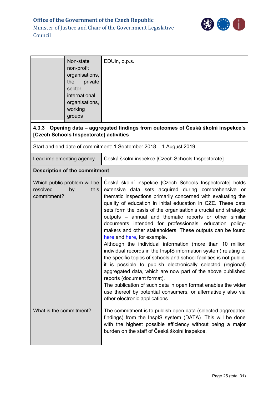

<span id="page-24-0"></span>

|                                                                                                               | Non-state<br>non-profit<br>organisations,<br>the<br>private<br>sector,<br>international<br>organisations,<br>working<br>groups | EDUin, o.p.s.                                                                                                                                                                                                                                                                                                                                                                                                                                                                                                                                                                                                                                                                                                                                                                                                                                                                                                                                                                                                                                                                |
|---------------------------------------------------------------------------------------------------------------|--------------------------------------------------------------------------------------------------------------------------------|------------------------------------------------------------------------------------------------------------------------------------------------------------------------------------------------------------------------------------------------------------------------------------------------------------------------------------------------------------------------------------------------------------------------------------------------------------------------------------------------------------------------------------------------------------------------------------------------------------------------------------------------------------------------------------------------------------------------------------------------------------------------------------------------------------------------------------------------------------------------------------------------------------------------------------------------------------------------------------------------------------------------------------------------------------------------------|
|                                                                                                               | [Czech Schools Inspectorate] activities                                                                                        | 4.3.3 Opening data – aggregated findings from outcomes of Česká školní inspekce's                                                                                                                                                                                                                                                                                                                                                                                                                                                                                                                                                                                                                                                                                                                                                                                                                                                                                                                                                                                            |
|                                                                                                               |                                                                                                                                | Start and end date of commitment: 1 September 2018 - 1 August 2019                                                                                                                                                                                                                                                                                                                                                                                                                                                                                                                                                                                                                                                                                                                                                                                                                                                                                                                                                                                                           |
| Lead implementing agency                                                                                      |                                                                                                                                | Česká školní inspekce [Czech Schools Inspectorate]                                                                                                                                                                                                                                                                                                                                                                                                                                                                                                                                                                                                                                                                                                                                                                                                                                                                                                                                                                                                                           |
|                                                                                                               |                                                                                                                                |                                                                                                                                                                                                                                                                                                                                                                                                                                                                                                                                                                                                                                                                                                                                                                                                                                                                                                                                                                                                                                                                              |
| <b>Description of the commitment</b><br>Which public problem will be<br>resolved<br>this<br>by<br>commitment? |                                                                                                                                | Česká školní inspekce [Czech Schools Inspectorate] holds<br>extensive data sets acquired during comprehensive or<br>thematic inspections primarily concerned with evaluating the<br>quality of education in initial education in CZE. These data<br>sets form the basis of the organisation's crucial and strategic<br>outputs - annual and thematic reports or other similar<br>documents intended for professionals, education policy-<br>makers and other stakeholders. These outputs can be found<br>here and here, for example.<br>Although the individual information (more than 10 million<br>individual records in the InspIS information system) relating to<br>the specific topics of schools and school facilities is not public,<br>it is possible to publish electronically selected (regional)<br>aggregated data, which are now part of the above published<br>reports (document format).<br>The publication of such data in open format enables the wider<br>use thereof by potential consumers, or alternatively also via<br>other electronic applications. |
| What is the commitment?<br>burden on the staff of Česká školní inspekce.                                      |                                                                                                                                | The commitment is to publish open data (selected aggregated<br>findings) from the InspIS system (DATA). This will be done<br>with the highest possible efficiency without being a major                                                                                                                                                                                                                                                                                                                                                                                                                                                                                                                                                                                                                                                                                                                                                                                                                                                                                      |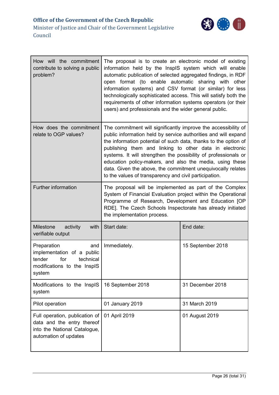| How will the commitment<br>contribute to solving a public<br>problem?                                                   | The proposal is to create an electronic model of existing<br>information held by the InspIS system which will enable<br>automatic publication of selected aggregated findings, in RDF<br>open format (to enable automatic sharing with other<br>information systems) and CSV format (or similar) for less<br>technologically sophisticated access. This will satisfy both the<br>requirements of other information systems operators (or their<br>users) and professionals and the wider general public.               |                   |
|-------------------------------------------------------------------------------------------------------------------------|------------------------------------------------------------------------------------------------------------------------------------------------------------------------------------------------------------------------------------------------------------------------------------------------------------------------------------------------------------------------------------------------------------------------------------------------------------------------------------------------------------------------|-------------------|
| How does the commitment<br>relate to OGP values?                                                                        | The commitment will significantly improve the accessibility of<br>public information held by service authorities and will expand<br>the information potential of such data, thanks to the option of<br>publishing them and linking to other data in electronic<br>systems. It will strengthen the possibility of professionals or<br>education policy-makers, and also the media, using these<br>data. Given the above, the commitment unequivocally relates<br>to the values of transparency and civil participation. |                   |
| Further information                                                                                                     | The proposal will be implemented as part of the Complex<br>System of Financial Evaluation project within the Operational<br>Programme of Research, Development and Education [OP<br>RDE]. The Czech Schools Inspectorate has already initiated<br>the implementation process.                                                                                                                                                                                                                                          |                   |
| Milestone<br>activity<br>with<br>verifiable output                                                                      | Start date:                                                                                                                                                                                                                                                                                                                                                                                                                                                                                                            | End date:         |
| Preparation<br>and<br>implementation of a public<br>tender<br>for<br>technical<br>modifications to the InspIS<br>system | Immediately.                                                                                                                                                                                                                                                                                                                                                                                                                                                                                                           | 15 September 2018 |
| Modifications to the InspIS<br>system                                                                                   | 16 September 2018                                                                                                                                                                                                                                                                                                                                                                                                                                                                                                      | 31 December 2018  |
| Pilot operation                                                                                                         | 01 January 2019                                                                                                                                                                                                                                                                                                                                                                                                                                                                                                        | 31 March 2019     |
| Full operation, publication of<br>data and the entry thereof<br>into the National Catalogue,<br>automation of updates   | 01 April 2019                                                                                                                                                                                                                                                                                                                                                                                                                                                                                                          | 01 August 2019    |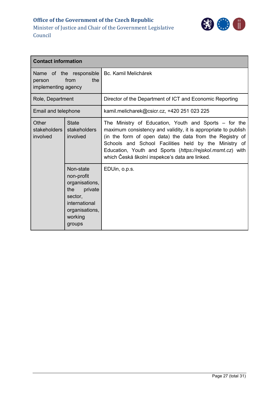

| <b>Contact information</b>                                              |                                                                                                                                |                                                                                                                                                                                                                                                                                                                                                              |  |
|-------------------------------------------------------------------------|--------------------------------------------------------------------------------------------------------------------------------|--------------------------------------------------------------------------------------------------------------------------------------------------------------------------------------------------------------------------------------------------------------------------------------------------------------------------------------------------------------|--|
| Name of the responsible<br>the<br>from<br>person<br>implementing agency |                                                                                                                                | Bc. Kamil Melichárek                                                                                                                                                                                                                                                                                                                                         |  |
| Role, Department                                                        |                                                                                                                                | Director of the Department of ICT and Economic Reporting                                                                                                                                                                                                                                                                                                     |  |
| Email and telephone                                                     |                                                                                                                                | kamil.melicharek@csicr.cz, +420 251 023 225                                                                                                                                                                                                                                                                                                                  |  |
| Other<br><b>stakeholders</b><br>involved                                | <b>State</b><br>stakeholders<br>involved                                                                                       | The Ministry of Education, Youth and Sports – for the<br>maximum consistency and validity, it is appropriate to publish<br>(in the form of open data) the data from the Registry of<br>Schools and School Facilities held by the Ministry of<br>Education, Youth and Sports (https://rejskol.msmt.cz) with<br>which Česká školní inspekce's data are linked. |  |
|                                                                         | Non-state<br>non-profit<br>organisations,<br>the<br>private<br>sector,<br>international<br>organisations,<br>working<br>groups | EDUin, o.p.s.                                                                                                                                                                                                                                                                                                                                                |  |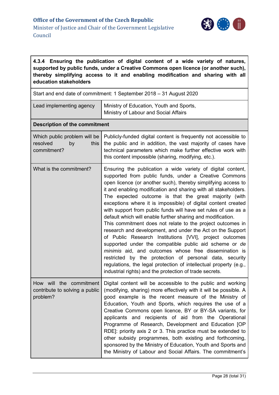

#### <span id="page-27-0"></span>**4.3.4 Ensuring the publication of digital content of a wide variety of natures, supported by public funds, under a Creative Commons open licence (or another such), thereby simplifying access to it and enabling modification and sharing with all education stakeholders**

| Start and end date of commitment: 1 September 2018 - 31 August 2020   |                                                                                                                                                                                                                                                                                                                                                                                                                                                                                                                                                                                                                                                                                                                                                                                                                                                                                                                                                                                                                          |  |  |
|-----------------------------------------------------------------------|--------------------------------------------------------------------------------------------------------------------------------------------------------------------------------------------------------------------------------------------------------------------------------------------------------------------------------------------------------------------------------------------------------------------------------------------------------------------------------------------------------------------------------------------------------------------------------------------------------------------------------------------------------------------------------------------------------------------------------------------------------------------------------------------------------------------------------------------------------------------------------------------------------------------------------------------------------------------------------------------------------------------------|--|--|
| Lead implementing agency                                              | Ministry of Education, Youth and Sports,<br>Ministry of Labour and Social Affairs                                                                                                                                                                                                                                                                                                                                                                                                                                                                                                                                                                                                                                                                                                                                                                                                                                                                                                                                        |  |  |
| <b>Description of the commitment</b>                                  |                                                                                                                                                                                                                                                                                                                                                                                                                                                                                                                                                                                                                                                                                                                                                                                                                                                                                                                                                                                                                          |  |  |
| Which public problem will be<br>resolved<br>this<br>by<br>commitment? | Publicly-funded digital content is frequently not accessible to<br>the public and in addition, the vast majority of cases have<br>technical parameters which make further effective work with<br>this content impossible (sharing, modifying, etc.).                                                                                                                                                                                                                                                                                                                                                                                                                                                                                                                                                                                                                                                                                                                                                                     |  |  |
| What is the commitment?                                               | Ensuring the publication a wide variety of digital content,<br>supported from public funds, under a Creative Commons<br>open licence (or another such), thereby simplifying access to<br>it and enabling modification and sharing with all stakeholders.<br>The expected outcome is that the great majority (with<br>exceptions where it is impossible) of digital content created<br>with support from public funds will have set rules of use as a<br>default which will enable further sharing and modification.<br>This commitment does not relate to the project outcomes in<br>research and development, and under the Act on the Support<br>of Public Research Institutions [VVI], project outcomes<br>supported under the compatible public aid scheme or de<br>minimis aid, and outcomes whose free dissemination is<br>restricted by the protection of personal data, security<br>regulations, the legal protection of intellectual property (e.g.,<br>industrial rights) and the protection of trade secrets. |  |  |
| How will the commitment<br>contribute to solving a public<br>problem? | Digital content will be accessible to the public and working<br>(modifying, sharing) more effectively with it will be possible. A<br>good example is the recent measure of the Ministry of<br>Education, Youth and Sports, which requires the use of a<br>Creative Commons open licence, BY or BY-SA variants, for<br>applicants and recipients of aid from the Operational<br>Programme of Research, Development and Education [OP<br>RDE]: priority axis 2 or 3. This practice must be extended to<br>other subsidy programmes, both existing and forthcoming,<br>sponsored by the Ministry of Education, Youth and Sports and<br>the Ministry of Labour and Social Affairs. The commitment's                                                                                                                                                                                                                                                                                                                          |  |  |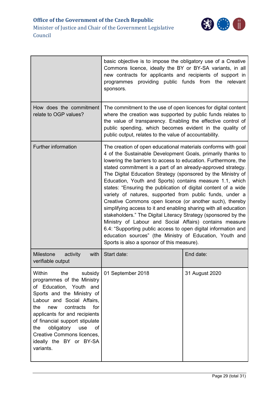

|                                                                                                                                                                                                                                                                                                                                                                   | basic objective is to impose the obligatory use of a Creative<br>Commons licence, ideally the BY or BY-SA variants, in all<br>new contracts for applicants and recipients of support in<br>programmes providing public funds from the<br>relevant<br>sponsors.                                                                                                                                                                                                                                                                                                                                                                                                                                                                                                                                                                                                                                                                                                    |                |
|-------------------------------------------------------------------------------------------------------------------------------------------------------------------------------------------------------------------------------------------------------------------------------------------------------------------------------------------------------------------|-------------------------------------------------------------------------------------------------------------------------------------------------------------------------------------------------------------------------------------------------------------------------------------------------------------------------------------------------------------------------------------------------------------------------------------------------------------------------------------------------------------------------------------------------------------------------------------------------------------------------------------------------------------------------------------------------------------------------------------------------------------------------------------------------------------------------------------------------------------------------------------------------------------------------------------------------------------------|----------------|
| How does the commitment<br>relate to OGP values?                                                                                                                                                                                                                                                                                                                  | The commitment to the use of open licences for digital content<br>where the creation was supported by public funds relates to<br>the value of transparency. Enabling the effective control of<br>public spending, which becomes evident in the quality of<br>public output, relates to the value of accountability.                                                                                                                                                                                                                                                                                                                                                                                                                                                                                                                                                                                                                                               |                |
| <b>Further information</b>                                                                                                                                                                                                                                                                                                                                        | The creation of open educational materials conforms with goal<br>4 of the Sustainable Development Goals, primarily thanks to<br>lowering the barriers to access to education. Furthermore, the<br>stated commitment is a part of an already-approved strategy.<br>The Digital Education Strategy (sponsored by the Ministry of<br>Education, Youth and Sports) contains measure 1.1, which<br>states: "Ensuring the publication of digital content of a wide<br>variety of natures, supported from public funds, under a<br>Creative Commons open licence (or another such), thereby<br>simplifying access to it and enabling sharing with all education<br>stakeholders." The Digital Literacy Strategy (sponsored by the<br>Ministry of Labour and Social Affairs) contains measure<br>6.4: "Supporting public access to open digital information and<br>education sources" (the Ministry of Education, Youth and<br>Sports is also a sponsor of this measure). |                |
| <b>Milestone</b><br>activity<br>with<br>verifiable output                                                                                                                                                                                                                                                                                                         | Start date:                                                                                                                                                                                                                                                                                                                                                                                                                                                                                                                                                                                                                                                                                                                                                                                                                                                                                                                                                       | End date:      |
| Within<br>the<br>subsidy<br>programmes of the Ministry<br>of Education, Youth and<br>Sports and the Ministry of<br>Labour and Social Affairs,<br>contracts<br>the<br>for<br>new<br>applicants for and recipients<br>of financial support stipulate<br>obligatory<br>use<br>οf<br>the<br><b>Creative Commons licences,</b><br>ideally the BY or BY-SA<br>variants. | 01 September 2018                                                                                                                                                                                                                                                                                                                                                                                                                                                                                                                                                                                                                                                                                                                                                                                                                                                                                                                                                 | 31 August 2020 |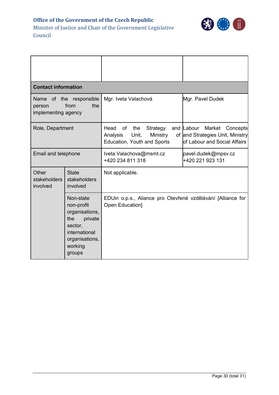**Office of the Government of the Czech Republic** Minister of Justice and Chair of the Government Legislative



Council

| <b>Contact information</b>                                              |                                                                                                                                |                                                                                               |                                                                                                      |
|-------------------------------------------------------------------------|--------------------------------------------------------------------------------------------------------------------------------|-----------------------------------------------------------------------------------------------|------------------------------------------------------------------------------------------------------|
| Name of the responsible<br>from<br>the<br>person<br>implementing agency |                                                                                                                                | Mgr. Iveta Valachová                                                                          | Mgr. Pavel Dudek                                                                                     |
| Role, Department                                                        |                                                                                                                                | Head<br>of<br>the<br>Strategy<br>Unit,<br>Ministry<br>Analysis<br>Education, Youth and Sports | and Labour<br>Market<br>Concepts<br>of and Strategies Unit, Ministry<br>of Labour and Social Affairs |
| Email and telephone                                                     |                                                                                                                                | Iveta. Valachova@msmt.cz<br>+420 234 811 318                                                  | pavel.dudek@mpsv.cz<br>+420 221 923 131                                                              |
| Other<br>stakeholders<br>involved                                       | <b>State</b><br>stakeholders<br>involved                                                                                       | Not applicable.                                                                               |                                                                                                      |
|                                                                         | Non-state<br>non-profit<br>organisations,<br>private<br>the<br>sector,<br>international<br>organisations,<br>working<br>groups | EDUin o.p.s., Aliance pro Otevřené vzdělávání [Alliance for<br>Open Education]                |                                                                                                      |